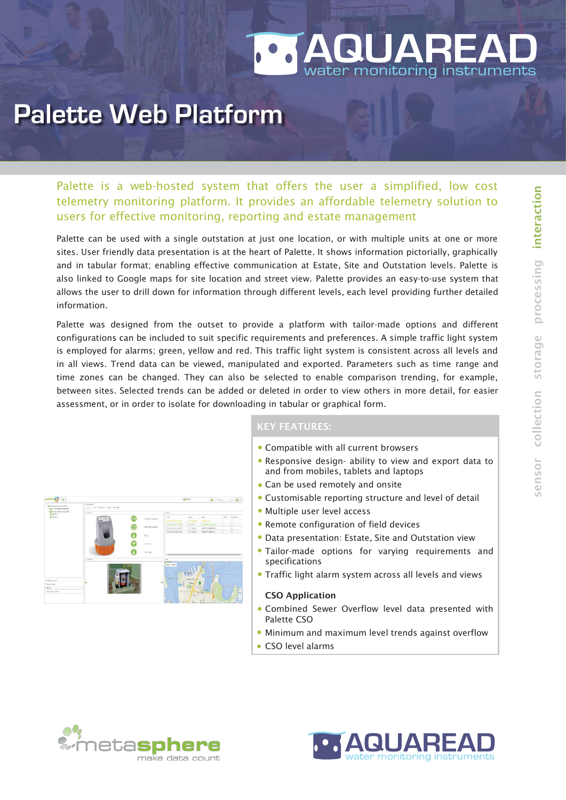

## **Palette Web Platform**

Palette is a web-hosted system that offers the user a simplified, low cost telemetry monitoring platform. It provides an affordable telemetry solution to users for effective monitoring, reporting and estate management

Palette can be used with a single outstation at just one location, or with multiple units at one or more sites. User friendly data presentation is at the heart of Palette. It shows information pictorially, graphically and in tabular format; enabling effective communication at Estate, Site and Outstation levels. Palette is also linked to Google maps for site location and street view. Palette provides an easy-to-use system that allows the user to drill down for information through different levels, each level providing further detailed information.

Palette was designed from the outset to provide a platform with tailor-made options and different configurations can be included to suit specific requirements and preferences. A simple traffic light system is employed for alarms; green, yellow and red. This traffic light system is consistent across all levels and in all views. Trend data can be viewed, manipulated and exported. Parameters such as time range and time zones can be changed. They can also be selected to enable comparison trending, for example, between sites. Selected trends can be added or deleted in order to view others in more detail, for easier assessment, or in order to isolate for downloading in tabular or graphical form.



## KEY FEATURES:

- Compatible with all current browsers
- Responsive design- ability to view and export data to and from mobiles, tablets and laptops
- Can be used remotely and onsite
- Customisable reporting structure and level of detail
- Multiple user level access
- Remote configuration of field devices
- Data presentation: Estate, Site and Outstation view
- Tailor-made options for varying requirements and specifications
- Traffic light alarm system across all levels and views

## CSO Application

- Combined Sewer Overflow level data presented with Palette CSO
- Minimum and maximum level trends against overflow
- CSO level alarms



o n